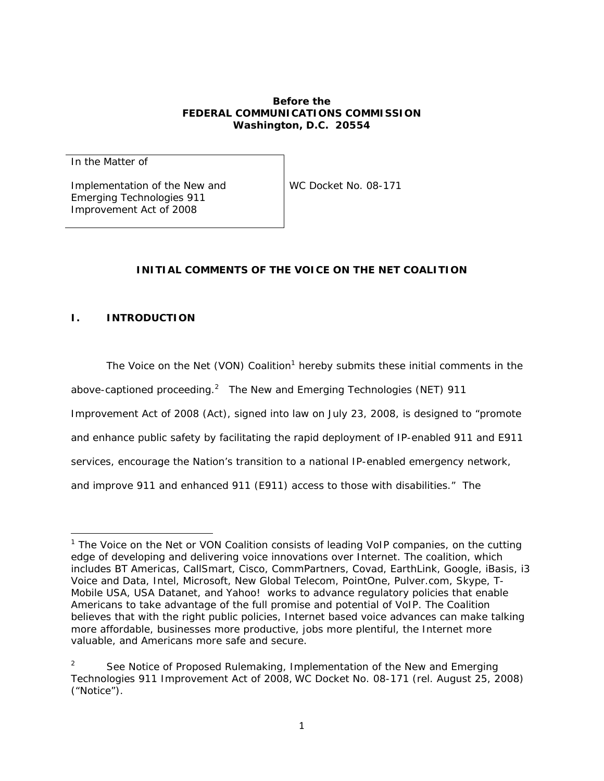#### **Before the FEDERAL COMMUNICATIONS COMMISSION Washington, D.C. 20554**

In the Matter of

Implementation of the New and Emerging Technologies 911 Improvement Act of 2008

WC Docket No. 08-171

## **INITIAL COMMENTS OF THE VOICE ON THE NET COALITION**

## **I. INTRODUCTION**

The Voice on the Net (VON) Coalition<sup>1</sup> hereby submits these initial comments in the above-captioned proceeding.<sup>2</sup> The New and Emerging Technologies (NET) 911 Improvement Act of 2008 (Act), signed into law on July 23, 2008, is designed to "promote and enhance public safety by facilitating the rapid deployment of IP-enabled 911 and E911 services, encourage the Nation's transition to a national IP-enabled emergency network, and improve 911 and enhanced 911 (E911) access to those with disabilities." The

<sup>&</sup>lt;sup>1</sup> The Voice on the Net or VON Coalition consists of leading VoIP companies, on the cutting *edge of developing and delivering voice innovations over Internet. The coalition, which includes BT Americas, CallSmart, Cisco, CommPartners, Covad, EarthLink, Google, iBasis, i3 Voice and Data, Intel, Microsoft, New Global Telecom, PointOne, Pulver.com, Skype, T-Mobile USA, USA Datanet, and Yahoo! works to advance regulatory policies that enable Americans to take advantage of the full promise and potential of VoIP. The Coalition believes that with the right public policies, Internet based voice advances can make talking more affordable, businesses more productive, jobs more plentiful, the Internet more valuable, and Americans more safe and secure.* 

<sup>2</sup> *See Notice of Proposed Rulemaking, Implementation of the New and Emerging Technologies 911 Improvement Act of 2008, WC Docket No. 08-171 (rel. August 25, 2008) ("Notice").*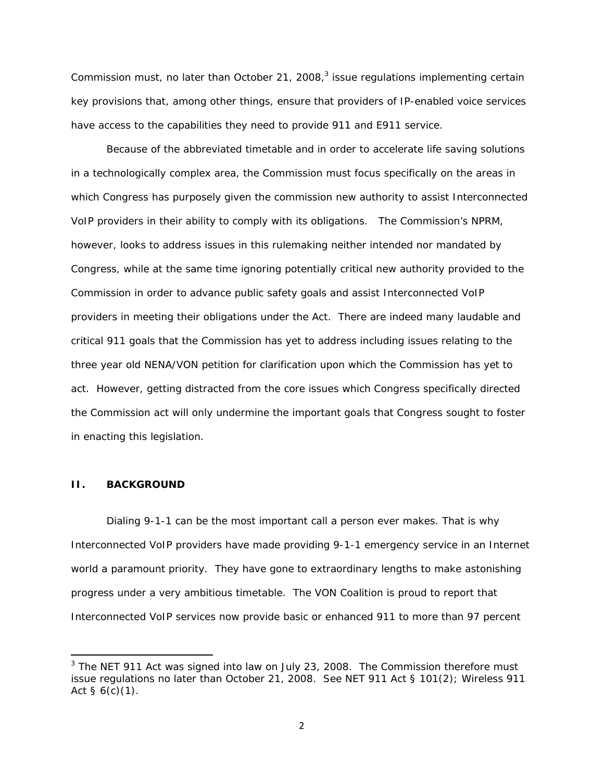Commission must, no later than October 21, 2008, $3$  issue regulations implementing certain key provisions that, among other things, ensure that providers of IP-enabled voice services have access to the capabilities they need to provide 911 and E911 service.

Because of the abbreviated timetable and in order to accelerate life saving solutions in a technologically complex area, the Commission must focus specifically on the areas in which Congress has purposely given the commission new authority to assist Interconnected VoIP providers in their ability to comply with its obligations. The Commission's NPRM, however, looks to address issues in this rulemaking neither intended nor mandated by Congress, while at the same time ignoring potentially critical new authority provided to the Commission in order to advance public safety goals and assist Interconnected VoIP providers in meeting their obligations under the Act. There are indeed many laudable and critical 911 goals that the Commission has yet to address including issues relating to the three year old NENA/VON petition for clarification upon which the Commission has yet to act. However, getting distracted from the core issues which Congress specifically directed the Commission act will only undermine the important goals that Congress sought to foster in enacting this legislation.

#### **II. BACKGROUND**

Dialing 9-1-1 can be the most important call a person ever makes. That is why Interconnected VoIP providers have made providing 9-1-1 emergency service in an Internet world a paramount priority. They have gone to extraordinary lengths to make astonishing progress under a very ambitious timetable. The VON Coalition is proud to report that Interconnected VoIP services now provide basic or enhanced 911 to more than 97 percent

<sup>&</sup>lt;sup>3</sup> The NET 911 Act was signed into law on July 23, 2008. The Commission therefore must *issue regulations no later than October 21, 2008.* See *NET 911 Act § 101(2); Wireless 911 Act § 6(c)(1).*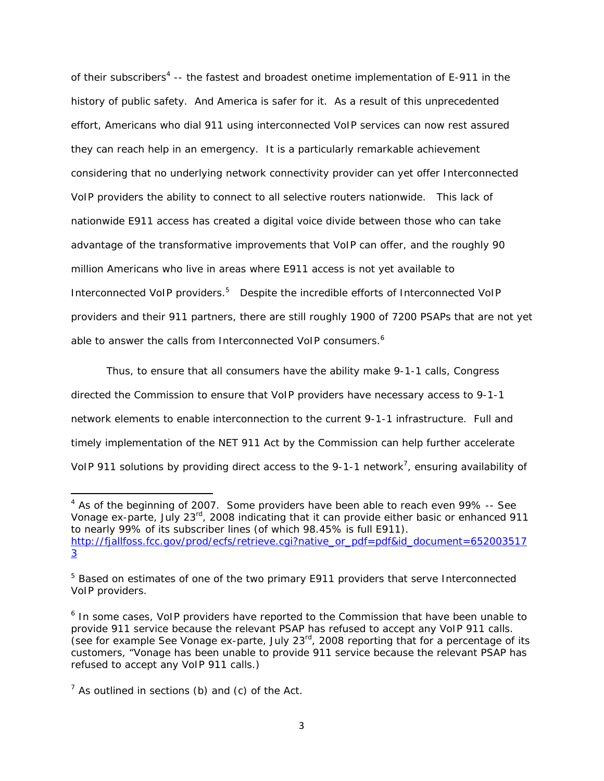of their subscribers<sup>4</sup> -- the fastest and broadest onetime implementation of E-911 in the history of public safety. And America is safer for it. As a result of this unprecedented effort, Americans who dial 911 using interconnected VoIP services can now rest assured they can reach help in an emergency. It is a particularly remarkable achievement considering that no underlying network connectivity provider can yet offer Interconnected VoIP providers the ability to connect to all selective routers nationwide. This lack of nationwide E911 access has created a digital voice divide between those who can take advantage of the transformative improvements that VoIP can offer, and the roughly 90 million Americans who live in areas where E911 access is not yet available to Interconnected VoIP providers.<sup>5</sup> Despite the incredible efforts of Interconnected VoIP providers and their 911 partners, there are still roughly 1900 of 7200 PSAPs that are not yet able to answer the calls from Interconnected VoIP consumers.<sup>6</sup>

Thus, to ensure that all consumers have the ability make 9-1-1 calls, Congress directed the Commission to ensure that VoIP providers have necessary access to 9-1-1 network elements to enable interconnection to the current 9-1-1 infrastructure. Full and timely implementation of the NET 911 Act by the Commission can help further accelerate VoIP 911 solutions by providing direct access to the 9-1-1 network<sup>7</sup>, ensuring availability of

*<sup>4</sup> As of the beginning of 2007. Some providers have been able to reach even 99% -- See Vonage ex-parte, July 23rd, 2008 indicating that it can provide either basic or enhanced 911 to nearly 99% of its subscriber lines (of which 98.45% is full E911). http://fjallfoss.fcc.gov/prod/ecfs/retrieve.cgi?native\_or\_pdf=pdf&id\_document=652003517 3* 

*<sup>5</sup> Based on estimates of one of the two primary E911 providers that serve Interconnected VoIP providers.* 

*<sup>6</sup> In some cases, VoIP providers have reported to the Commission that have been unable to provide 911 service because the relevant PSAP has refused to accept any VoIP 911 calls. (see for example See Vonage ex-parte, July 23rd, 2008 reporting that for a percentage of its customers, "Vonage has been unable to provide 911 service because the relevant PSAP has refused to accept any VoIP 911 calls.)* 

*<sup>7</sup> As outlined in sections (b) and (c) of the Act.*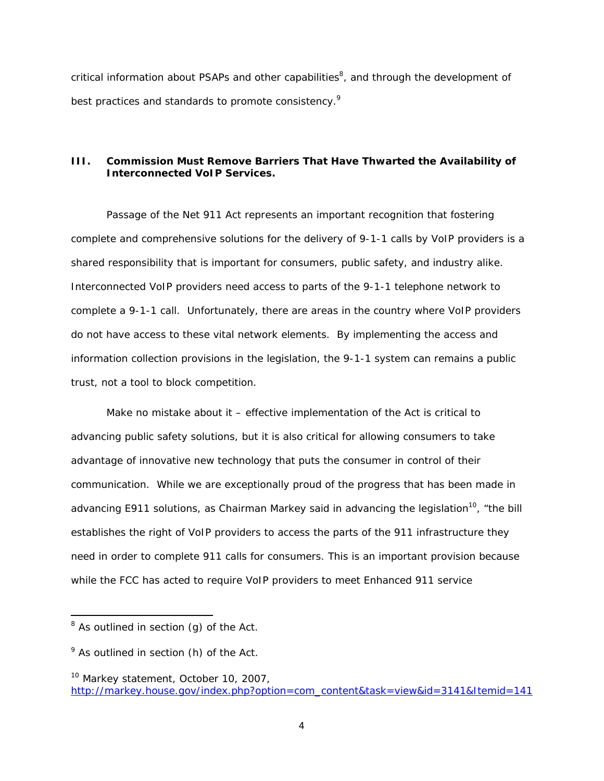critical information about PSAPs and other capabilities<sup>8</sup>, and through the development of best practices and standards to promote consistency.<sup>9</sup>

## **III. Commission Must Remove Barriers That Have Thwarted the Availability of Interconnected VoIP Services.**

Passage of the Net 911 Act represents an important recognition that fostering complete and comprehensive solutions for the delivery of 9-1-1 calls by VoIP providers is a shared responsibility that is important for consumers, public safety, and industry alike. Interconnected VoIP providers need access to parts of the 9-1-1 telephone network to complete a 9-1-1 call. Unfortunately, there are areas in the country where VoIP providers do not have access to these vital network elements. By implementing the access and information collection provisions in the legislation, the 9-1-1 system can remains a public trust, not a tool to block competition.

Make no mistake about it – effective implementation of the Act is critical to advancing public safety solutions, but it is also critical for allowing consumers to take advantage of innovative new technology that puts the consumer in control of their communication. While we are exceptionally proud of the progress that has been made in advancing E911 solutions, as Chairman Markey said in advancing the legislation<sup>10</sup>, "the bill *establishes the right of VoIP providers to access the parts of the 911 infrastructure they need in order to complete 911 calls for consumers. This is an important provision because while the FCC has acted to require VoIP providers to meet Enhanced 911 service* 

*<sup>8</sup> As outlined in section (g) of the Act.* 

*<sup>9</sup> As outlined in section (h) of the Act.* 

*<sup>10</sup> Markey statement, October 10, 2007, http://markey.house.gov/index.php?option=com\_content&task=view&id=3141&Itemid=141*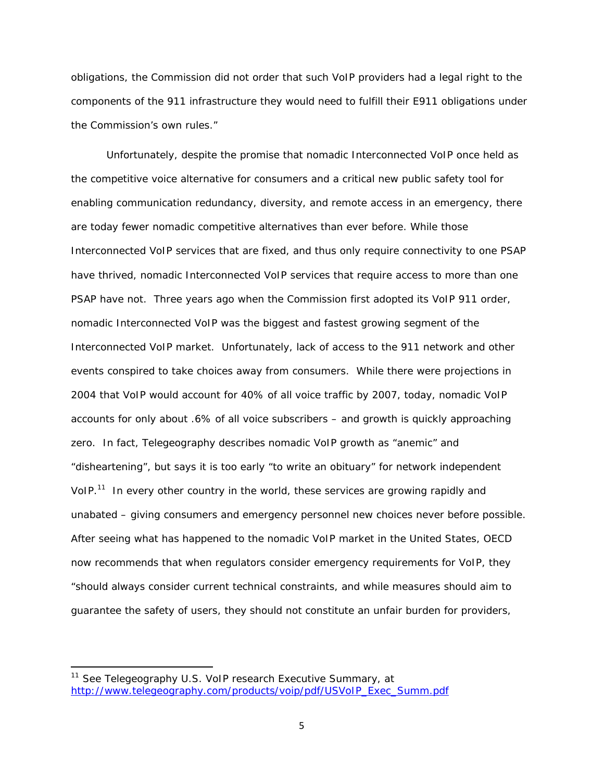*obligations, the Commission did not order that such VoIP providers had a legal right to the components of the 911 infrastructure they would need to fulfill their E911 obligations under the Commission's own rules."*

Unfortunately, despite the promise that nomadic Interconnected VoIP once held as the competitive voice alternative for consumers and a critical new public safety tool for enabling communication redundancy, diversity, and remote access in an emergency, there are today fewer nomadic competitive alternatives than ever before. While those Interconnected VoIP services that are fixed, and thus only require connectivity to one PSAP have thrived, nomadic Interconnected VoIP services that require access to more than one PSAP have not. Three years ago when the Commission first adopted its VoIP 911 order, nomadic Interconnected VoIP was the biggest and fastest growing segment of the Interconnected VoIP market. Unfortunately, lack of access to the 911 network and other events conspired to take choices away from consumers. While there were projections in 2004 that VoIP would account for 40% of all voice traffic by 2007, today, nomadic VoIP accounts for only about .6% of all voice subscribers – and growth is quickly approaching zero. In fact, Telegeography describes nomadic VoIP growth as "anemic" and "disheartening", but says it is too early "to write an obituary" for network independent VoIP.<sup>11</sup> In every other country in the world, these services are growing rapidly and unabated – giving consumers and emergency personnel new choices never before possible. After seeing what has happened to the nomadic VoIP market in the United States, OECD now recommends that when regulators consider emergency requirements for VoIP, they *"should always consider current technical constraints, and while measures should aim to guarantee the safety of users, they should not constitute an unfair burden for providers,* 

*<sup>11</sup> See Telegeography U.S. VoIP research Executive Summary, at http://www.telegeography.com/products/voip/pdf/USVoIP\_Exec\_Summ.pdf*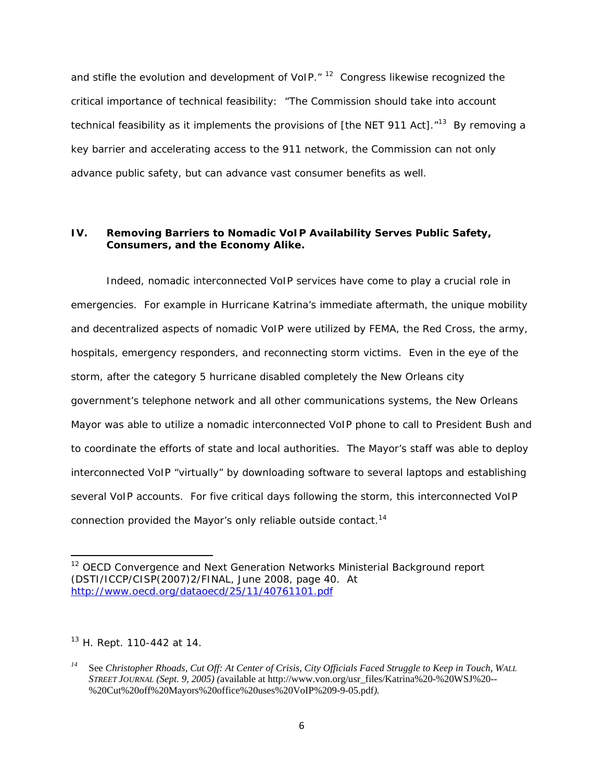*and stifle the evolution and development of VoIP."* 12 Congress likewise recognized the critical importance of technical feasibility: "*The Commission should take into account technical feasibility as it implements the provisions of [the NET 911 Act]*."<sup>13</sup> By removing a key barrier and accelerating access to the 911 network, the Commission can not only advance public safety, but can advance vast consumer benefits as well.

## **IV. Removing Barriers to Nomadic VoIP Availability Serves Public Safety, Consumers, and the Economy Alike.**

Indeed, nomadic interconnected VoIP services have come to play a crucial role in emergencies. For example in Hurricane Katrina's immediate aftermath, the unique mobility and decentralized aspects of nomadic VoIP were utilized by FEMA, the Red Cross, the army, hospitals, emergency responders, and reconnecting storm victims. Even in the eye of the storm, after the category 5 hurricane disabled completely the New Orleans city government's telephone network and all other communications systems, the New Orleans Mayor was able to utilize a nomadic interconnected VoIP phone to call to President Bush and to coordinate the efforts of state and local authorities. The Mayor's staff was able to deploy interconnected VoIP "virtually" by downloading software to several laptops and establishing several VoIP accounts. For five critical days following the storm, this interconnected VoIP connection provided the Mayor's only reliable outside contact.14

*13 H. Rept. 110-442 at 14.* 

*<sup>12</sup> OECD Convergence and Next Generation Networks Ministerial Background report (DSTI/ICCP/CISP(2007)2/FINAL, June 2008, page 40. At http://www.oecd.org/dataoecd/25/11/40761101.pdf*

*<sup>14</sup>* See *Christopher Rhoads, Cut Off: At Center of Crisis, City Officials Faced Struggle to Keep in Touch, WALL STREET JOURNAL (Sept. 9, 2005) (*available at http://www.von.org/usr\_files/Katrina%20-%20WSJ%20-- %20Cut%20off%20Mayors%20office%20uses%20VoIP%209-9-05.pdf*).*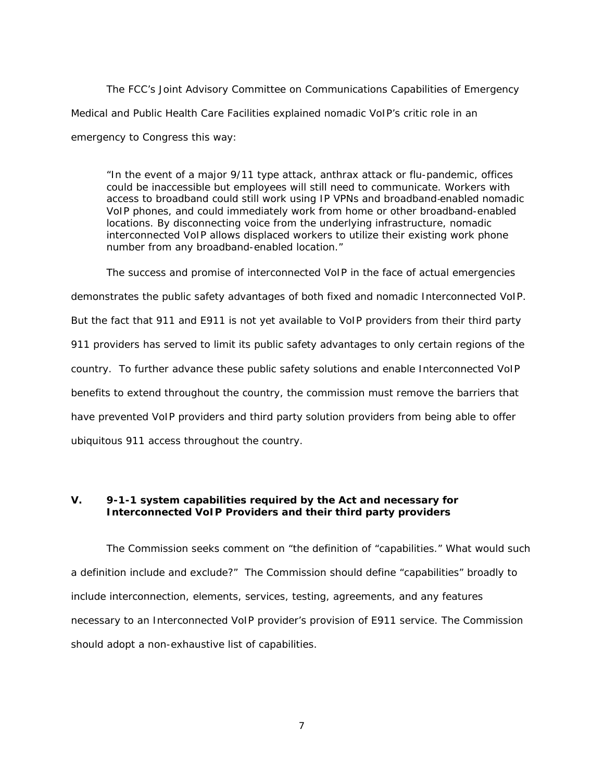The FCC's Joint Advisory Committee on Communications Capabilities of Emergency Medical and Public Health Care Facilities explained nomadic VoIP's critic role in an emergency to Congress this way:

*"In the event of a major 9/11 type attack, anthrax attack or flu-pandemic, offices could be inaccessible but employees will still need to communicate. Workers with access to broadband could still work using IP VPNs and broadband*‐*enabled nomadic VoIP phones, and could immediately work from home or other broadband-enabled locations. By disconnecting voice from the underlying infrastructure, nomadic interconnected VoIP allows displaced workers to utilize their existing work phone number from any broadband-enabled location."*

The success and promise of interconnected VoIP in the face of actual emergencies demonstrates the public safety advantages of both fixed and nomadic Interconnected VoIP. But the fact that 911 and E911 is not yet available to VoIP providers from their third party 911 providers has served to limit its public safety advantages to only certain regions of the country. To further advance these public safety solutions and enable Interconnected VoIP benefits to extend throughout the country, the commission must remove the barriers that have prevented VoIP providers and third party solution providers from being able to offer ubiquitous 911 access throughout the country.

# **V. 9-1-1 system capabilities required by the Act and necessary for Interconnected VoIP Providers and their third party providers**

The Commission seeks comment on "the definition of "capabilities." What would such a definition include and exclude?" The Commission should define "capabilities" broadly to include interconnection, elements, services, testing, agreements, and any features necessary to an Interconnected VoIP provider's provision of E911 service. The Commission should adopt a non-exhaustive list of capabilities.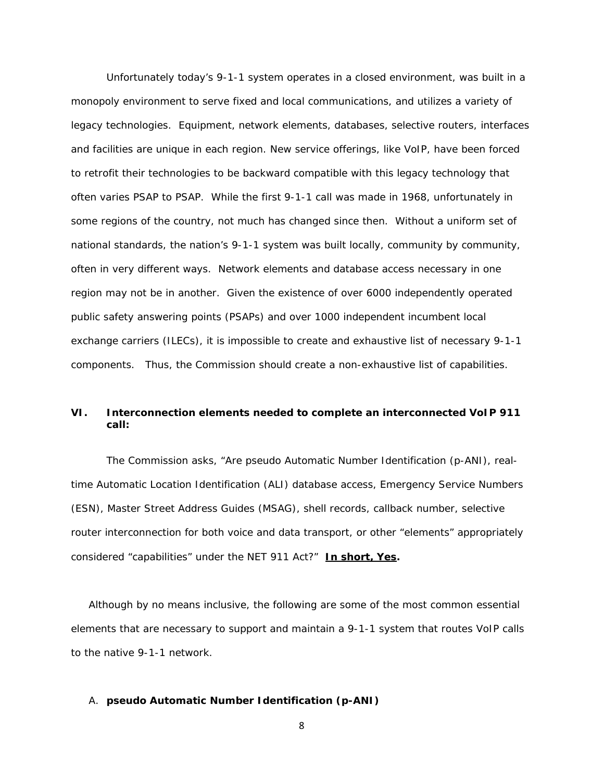Unfortunately today's 9-1-1 system operates in a closed environment, was built in a monopoly environment to serve fixed and local communications, and utilizes a variety of legacy technologies. Equipment, network elements, databases, selective routers, interfaces and facilities are unique in each region. New service offerings, like VoIP, have been forced to retrofit their technologies to be backward compatible with this legacy technology that often varies PSAP to PSAP. While the first 9-1-1 call was made in 1968, unfortunately in some regions of the country, not much has changed since then. Without a uniform set of national standards, the nation's 9-1-1 system was built locally, community by community, often in very different ways. Network elements and database access necessary in one region may not be in another. Given the existence of over 6000 independently operated public safety answering points (PSAPs) and over 1000 independent incumbent local exchange carriers (ILECs), it is impossible to create and exhaustive list of necessary 9-1-1 components. Thus, the Commission should create a non-exhaustive list of capabilities.

# **VI. Interconnection elements needed to complete an interconnected VoIP 911 call:**

The Commission asks, "Are pseudo Automatic Number Identification (p-ANI), realtime Automatic Location Identification (ALI) database access, Emergency Service Numbers (ESN), Master Street Address Guides (MSAG), shell records, callback number, selective router interconnection for both voice and data transport, or other "elements" appropriately considered "capabilities" under the NET 911 Act?" **In short, Yes.** 

Although by no means inclusive, the following are some of the most common essential elements that are necessary to support and maintain a 9-1-1 system that routes VoIP calls to the native 9-1-1 network.

#### A. **pseudo Automatic Number Identification (p-ANI)**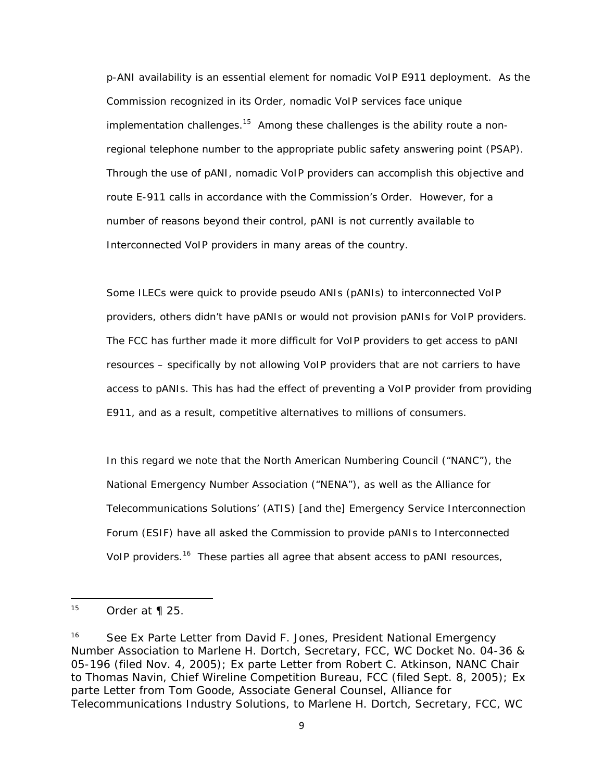p-ANI availability is an essential element for nomadic VoIP E911 deployment. As the Commission recognized in its *Order*, nomadic VoIP services face unique implementation challenges.<sup>15</sup> Among these challenges is the ability route a nonregional telephone number to the appropriate public safety answering point (PSAP). Through the use of pANI, nomadic VoIP providers can accomplish this objective and route E-911 calls in accordance with the Commission's *Order*. However, for a number of reasons beyond their control, pANI is not currently available to Interconnected VoIP providers in many areas of the country.

Some ILECs were quick to provide pseudo ANIs (pANIs) to interconnected VoIP providers, others didn't have pANIs or would not provision pANIs for VoIP providers. The FCC has further made it more difficult for VoIP providers to get access to pANI resources – specifically by not allowing VoIP providers that are not carriers to have access to pANIs. This has had the effect of preventing a VoIP provider from providing E911, and as a result, competitive alternatives to millions of consumers.

In this regard we note that the North American Numbering Council ("NANC"), the National Emergency Number Association ("NENA"), as well as the Alliance for Telecommunications Solutions' (ATIS) [and the] Emergency Service Interconnection Forum (ESIF) have all asked the Commission to provide pANIs to Interconnected VoIP providers.<sup>16</sup> These parties all agree that absent access to pANI resources,

*<sup>15</sup>* Order *at ¶ 25.* 

*<sup>16</sup>* See Ex Parte *Letter from David F. Jones, President National Emergency Number Association to Marlene H. Dortch, Secretary, FCC, WC Docket No. 04-36 & 05-196 (filed Nov. 4, 2005);* Ex parte *Letter from Robert C. Atkinson, NANC Chair to Thomas Navin, Chief Wireline Competition Bureau, FCC (filed Sept. 8, 2005);* Ex parte *Letter from Tom Goode, Associate General Counsel, Alliance for Telecommunications Industry Solutions, to Marlene H. Dortch, Secretary, FCC, WC*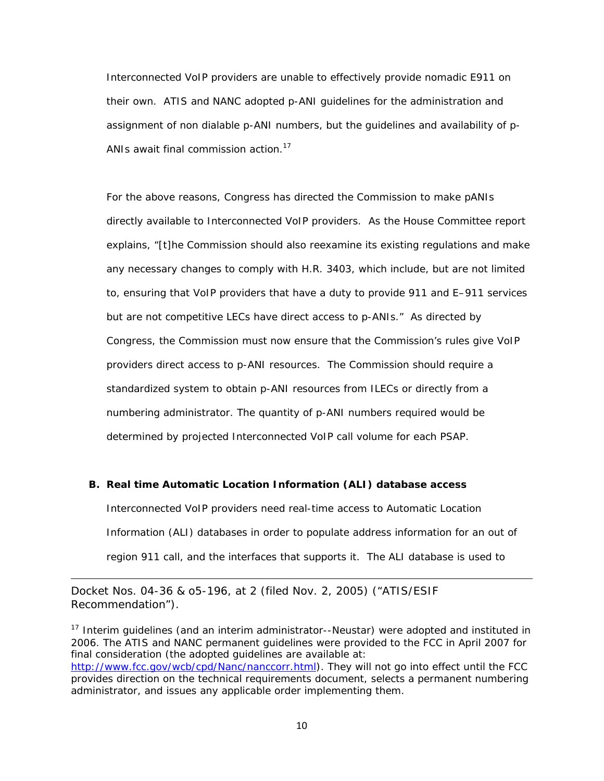Interconnected VoIP providers are unable to effectively provide nomadic E911 on their own. ATIS and NANC adopted p-ANI guidelines for the administration and assignment of non dialable p-ANI numbers, but the guidelines and availability of p-ANIs await final commission action.<sup>17</sup>

For the above reasons, Congress has directed the Commission to make pANIs directly available to Interconnected VoIP providers. As the House Committee report explains, *"[t]he Commission should also reexamine its existing regulations and make any necessary changes to comply with H.R. 3403, which include, but are not limited to, ensuring that VoIP providers that have a duty to provide 911 and E–911 services but are not competitive LECs have direct access to p-ANIs."* As directed by Congress, the Commission must now ensure that the Commission's rules give VoIP providers direct access to p-ANI resources. The Commission should require a standardized system to obtain p-ANI resources from ILECs or directly from a numbering administrator. The quantity of p-ANI numbers required would be determined by projected Interconnected VoIP call volume for each PSAP.

## **B. Real time Automatic Location Information (ALI) database access**

Interconnected VoIP providers need real-time access to Automatic Location Information (ALI) databases in order to populate address information for an out of region 911 call, and the interfaces that supports it. The ALI database is used to

*Docket Nos. 04-36 & o5-196, at 2 (filed Nov. 2, 2005) ("ATIS/ESIF Recommendation").*

*17 Interim guidelines (and an interim administrator--Neustar) were adopted and instituted in 2006. The ATIS and NANC permanent guidelines were provided to the FCC in April 2007 for final consideration (the adopted guidelines are available at: http://www.fcc.gov/wcb/cpd/Nanc/nanccorr.html). They will not go into effect until the FCC provides direction on the technical requirements document, selects a permanent numbering administrator, and issues any applicable order implementing them.* 

<u> 1989 - Johann Stein, marwolaethau a gweledydd a ganlad y ganlad y ganlad y ganlad y ganlad y ganlad y ganlad</u>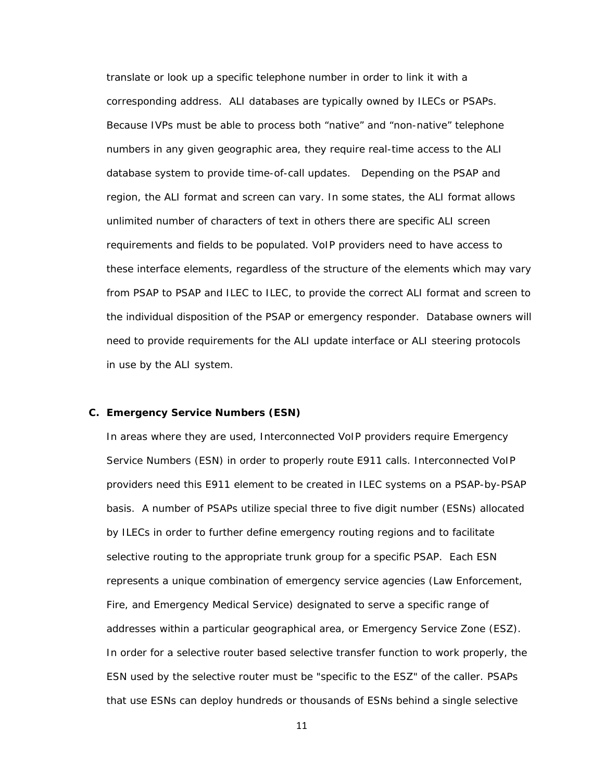translate or look up a specific telephone number in order to link it with a corresponding address. ALI databases are typically owned by ILECs or PSAPs. Because IVPs must be able to process both "native" and "non-native" telephone numbers in any given geographic area, they require real-time access to the ALI database system to provide time-of-call updates. Depending on the PSAP and region, the ALI format and screen can vary. In some states, the ALI format allows unlimited number of characters of text in others there are specific ALI screen requirements and fields to be populated. VoIP providers need to have access to these interface elements, regardless of the structure of the elements which may vary from PSAP to PSAP and ILEC to ILEC, to provide the correct ALI format and screen to the individual disposition of the PSAP or emergency responder. Database owners will need to provide requirements for the ALI update interface or ALI steering protocols in use by the ALI system.

#### **C. Emergency Service Numbers (ESN)**

In areas where they are used, Interconnected VoIP providers require Emergency Service Numbers (ESN) in order to properly route E911 calls. Interconnected VoIP providers need this E911 element to be created in ILEC systems on a PSAP-by-PSAP basis. A number of PSAPs utilize special three to five digit number (ESNs) allocated by ILECs in order to further define emergency routing regions and to facilitate selective routing to the appropriate trunk group for a specific PSAP. Each ESN represents a unique combination of emergency service agencies (Law Enforcement, Fire, and Emergency Medical Service) designated to serve a specific range of addresses within a particular geographical area, or Emergency Service Zone (ESZ). In order for a selective router based selective transfer function to work properly, the ESN used by the selective router must be "specific to the ESZ" of the caller. PSAPs that use ESNs can deploy hundreds or thousands of ESNs behind a single selective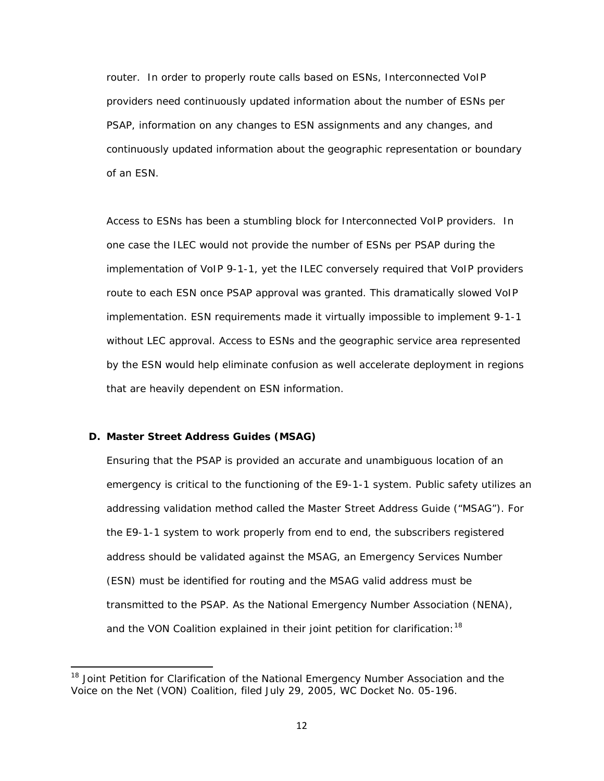router. In order to properly route calls based on ESNs, Interconnected VoIP providers need continuously updated information about the number of ESNs per PSAP, information on any changes to ESN assignments and any changes, and continuously updated information about the geographic representation or boundary of an ESN.

Access to ESNs has been a stumbling block for Interconnected VoIP providers. In one case the ILEC would not provide the number of ESNs per PSAP during the implementation of VoIP 9-1-1, yet the ILEC conversely required that VoIP providers route to each ESN once PSAP approval was granted. This dramatically slowed VoIP implementation. ESN requirements made it virtually impossible to implement 9-1-1 without LEC approval. Access to ESNs and the geographic service area represented by the ESN would help eliminate confusion as well accelerate deployment in regions that are heavily dependent on ESN information.

### **D. Master Street Address Guides (MSAG)**

Ensuring that the PSAP is provided an accurate and unambiguous location of an emergency is critical to the functioning of the E9-1-1 system. Public safety utilizes an addressing validation method called the Master Street Address Guide ("MSAG"). For the E9-1-1 system to work properly from end to end, the subscribers registered address should be validated against the MSAG, an Emergency Services Number (ESN) must be identified for routing and the MSAG valid address must be transmitted to the PSAP. As the National Emergency Number Association (NENA), and the VON Coalition explained in their joint petition for clarification:<sup>18</sup>

*<sup>18</sup> Joint Petition for Clarification of the National Emergency Number Association and the Voice on the Net (VON) Coalition, filed July 29, 2005, WC Docket No. 05-196.*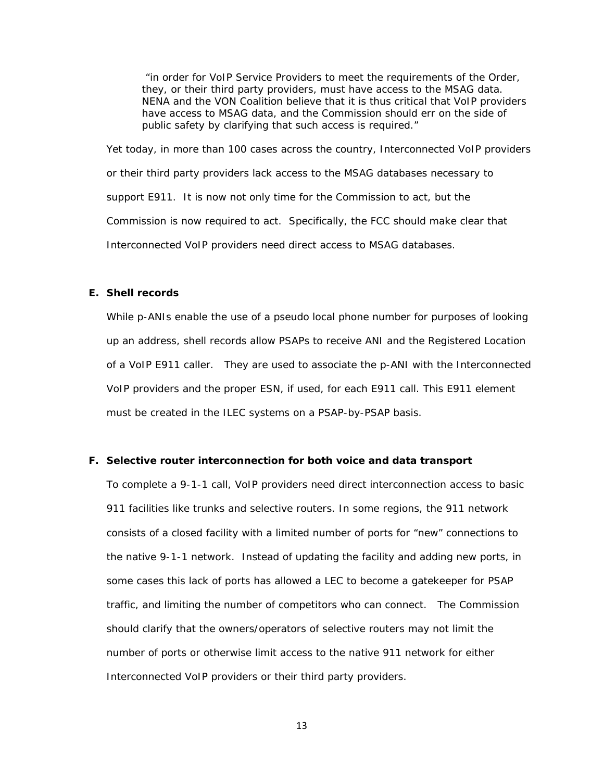*"in order for VoIP Service Providers to meet the requirements of the Order, they, or their third party providers, must have access to the MSAG data. NENA and the VON Coalition believe that it is thus critical that VoIP providers have access to MSAG data, and the Commission should err on the side of public safety by clarifying that such access is required."* 

Yet today, in more than 100 cases across the country, Interconnected VoIP providers or their third party providers lack access to the MSAG databases necessary to support E911. It is now not only time for the Commission to act, but the Commission is now required to act. Specifically, the FCC should make clear that Interconnected VoIP providers need direct access to MSAG databases.

### **E. Shell records**

While p-ANIs enable the use of a pseudo local phone number for purposes of looking up an address, shell records allow PSAPs to receive ANI and the Registered Location of a VoIP E911 caller. They are used to associate the p-ANI with the Interconnected VoIP providers and the proper ESN, if used, for each E911 call. This E911 element must be created in the ILEC systems on a PSAP-by-PSAP basis.

#### **F. Selective router interconnection for both voice and data transport**

To complete a 9-1-1 call, VoIP providers need direct interconnection access to basic 911 facilities like trunks and selective routers. In some regions, the 911 network consists of a closed facility with a limited number of ports for "new" connections to the native 9-1-1 network. Instead of updating the facility and adding new ports, in some cases this lack of ports has allowed a LEC to become a gatekeeper for PSAP traffic, and limiting the number of competitors who can connect. The Commission should clarify that the owners/operators of selective routers may not limit the number of ports or otherwise limit access to the native 911 network for either Interconnected VoIP providers or their third party providers.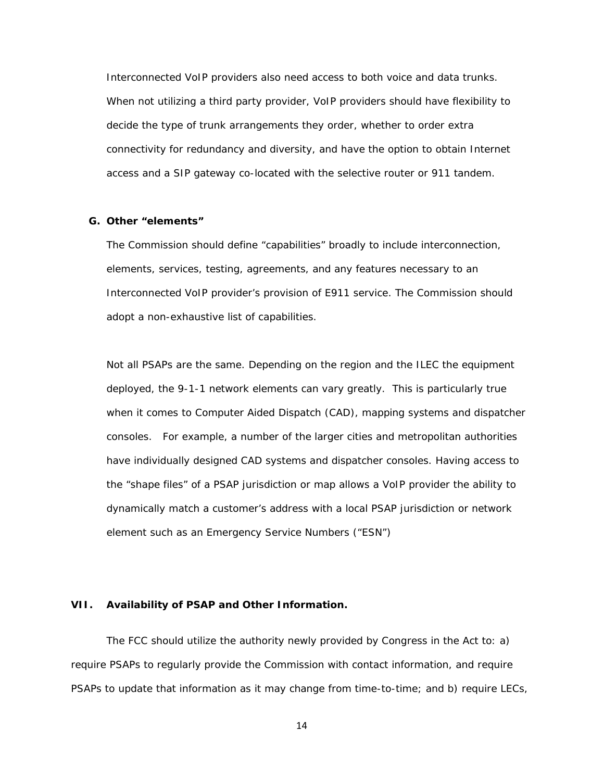Interconnected VoIP providers also need access to both voice and data trunks. When not utilizing a third party provider, VoIP providers should have flexibility to decide the type of trunk arrangements they order, whether to order extra connectivity for redundancy and diversity, and have the option to obtain Internet access and a SIP gateway co-located with the selective router or 911 tandem.

#### **G. Other "elements"**

The Commission should define "capabilities" broadly to include interconnection, elements, services, testing, agreements, and any features necessary to an Interconnected VoIP provider's provision of E911 service. The Commission should adopt a non-exhaustive list of capabilities.

Not all PSAPs are the same. Depending on the region and the ILEC the equipment deployed, the 9-1-1 network elements can vary greatly. This is particularly true when it comes to Computer Aided Dispatch (CAD), mapping systems and dispatcher consoles. For example, a number of the larger cities and metropolitan authorities have individually designed CAD systems and dispatcher consoles. Having access to the "shape files" of a PSAP jurisdiction or map allows a VoIP provider the ability to dynamically match a customer's address with a local PSAP jurisdiction or network element such as an Emergency Service Numbers ("ESN")

#### **VII. Availability of PSAP and Other Information.**

The FCC should utilize the authority newly provided by Congress in the Act to: a) require PSAPs to regularly provide the Commission with contact information, and require PSAPs to update that information as it may change from time-to-time; and b) require LECs,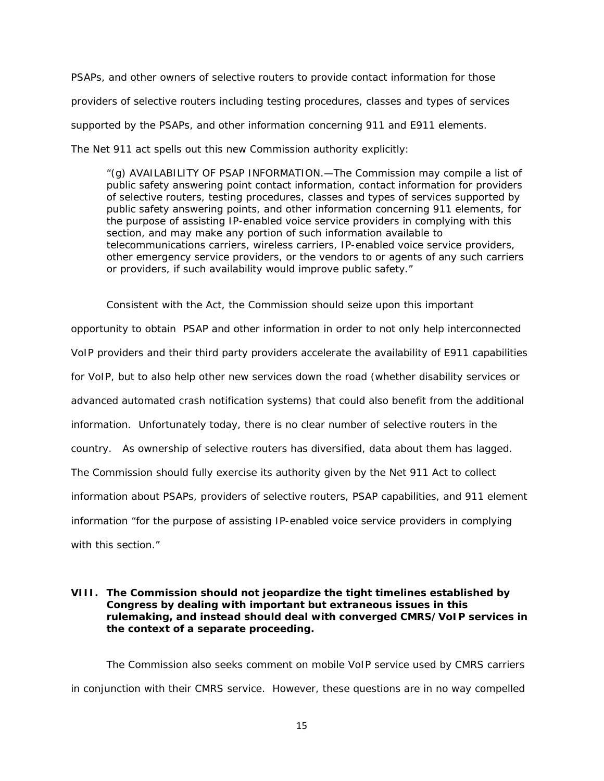PSAPs, and other owners of selective routers to provide contact information for those providers of selective routers including testing procedures, classes and types of services supported by the PSAPs, and other information concerning 911 and E911 elements. The Net 911 act spells out this new Commission authority explicitly:

*"(g) AVAILABILITY OF PSAP INFORMATION.—The Commission may compile a list of public safety answering point contact information, contact information for providers of selective routers, testing procedures, classes and types of services supported by public safety answering points, and other information concerning 911 elements, for the purpose of assisting IP-enabled voice service providers in complying with this section, and may make any portion of such information available to telecommunications carriers, wireless carriers, IP-enabled voice service providers, other emergency service providers, or the vendors to or agents of any such carriers or providers, if such availability would improve public safety."* 

Consistent with the Act, the Commission should seize upon this important opportunity to obtain PSAP and other information in order to not only help interconnected VoIP providers and their third party providers accelerate the availability of E911 capabilities for VoIP, but to also help other new services down the road (whether disability services or advanced automated crash notification systems) that could also benefit from the additional information. Unfortunately today, there is no clear number of selective routers in the country. As ownership of selective routers has diversified, data about them has lagged. The Commission should fully exercise its authority given by the Net 911 Act to collect information about PSAPs, providers of selective routers, PSAP capabilities, and 911 element information "*for the purpose of assisting IP-enabled voice service providers in complying with this section."*

## **VIII. The Commission should not jeopardize the tight timelines established by Congress by dealing with important but extraneous issues in this rulemaking, and instead should deal with converged CMRS/VoIP services in the context of a separate proceeding.**

The Commission also seeks comment on mobile VoIP service used by CMRS carriers in conjunction with their CMRS service. However, these questions are in no way compelled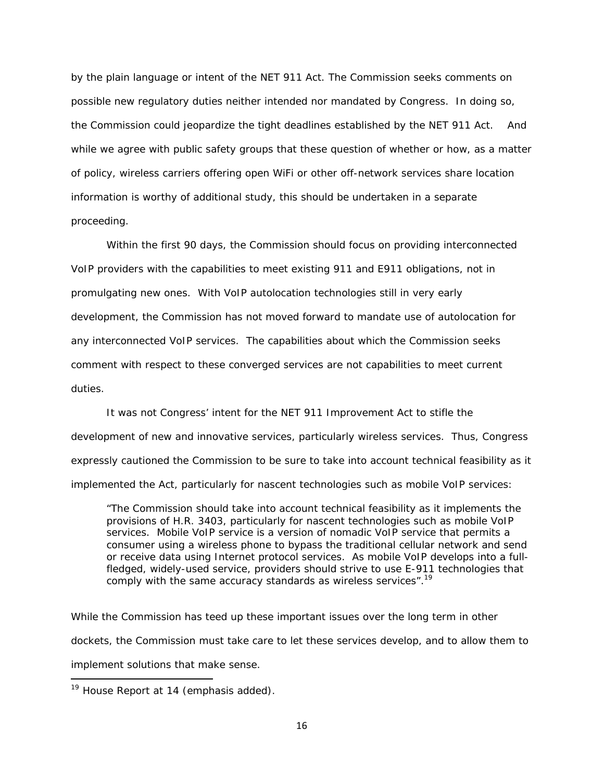by the plain language or intent of the NET 911 Act. The Commission seeks comments on possible new regulatory duties neither intended nor mandated by Congress. In doing so, the Commission could jeopardize the tight deadlines established by the NET 911 Act. And while we agree with public safety groups that these question of whether or how, as a matter of policy, wireless carriers offering open WiFi or other off-network services share location information is worthy of additional study, this should be undertaken in a separate proceeding.

Within the first 90 days, the Commission should focus on providing interconnected VoIP providers with the capabilities to meet existing 911 and E911 obligations, not in promulgating new ones. With VoIP autolocation technologies still in very early development, the Commission has not moved forward to mandate use of autolocation for any interconnected VoIP services. The capabilities about which the Commission seeks comment with respect to these converged services are not capabilities to meet current duties.

It was not Congress' intent for the NET 911 Improvement Act to stifle the development of new and innovative services, particularly wireless services. Thus, Congress expressly cautioned the Commission to be sure to take into account technical feasibility as it implemented the Act, particularly for nascent technologies such as mobile VoIP services:

"The Commission should take into account technical feasibility as it implements the provisions of H.R. 3403, particularly for nascent technologies such as mobile VoIP services. Mobile VoIP service is a version of nomadic VoIP service that permits a consumer using a wireless phone to bypass the traditional cellular network and send or receive data using Internet protocol services. *As mobile VoIP develops into a fullfledged, widely-used service, providers should strive to use E-911 technologies that comply with the same accuracy standards as wireless services".19*

While the Commission has teed up these important issues over the long term in other dockets, the Commission must take care to let these services develop, and to allow them to implement solutions that make sense.

*<sup>19</sup> House Report at 14 (emphasis added).*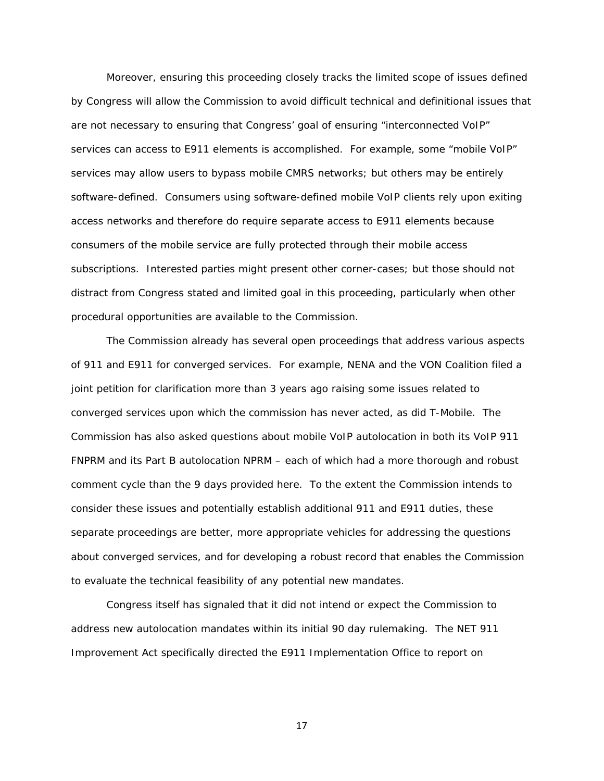Moreover, ensuring this proceeding closely tracks the limited scope of issues defined by Congress will allow the Commission to avoid difficult technical and definitional issues that are not necessary to ensuring that Congress' goal of ensuring "interconnected VoIP" services can access to E911 elements is accomplished. For example, some "mobile VoIP" services may allow users to bypass mobile CMRS networks; but others may be entirely software-defined. Consumers using software-defined mobile VoIP clients rely upon exiting access networks and therefore do require separate access to E911 elements because consumers of the mobile service are fully protected through their mobile access subscriptions. Interested parties might present other corner-cases; but those should not distract from Congress stated and limited goal in this proceeding, particularly when other procedural opportunities are available to the Commission.

The Commission already has several open proceedings that address various aspects of 911 and E911 for converged services. For example, NENA and the VON Coalition filed a joint petition for clarification more than 3 years ago raising some issues related to converged services upon which the commission has never acted, as did T-Mobile. The Commission has also asked questions about mobile VoIP autolocation in both its VoIP 911 FNPRM and its Part B autolocation NPRM – each of which had a more thorough and robust comment cycle than the 9 days provided here. To the extent the Commission intends to consider these issues and potentially establish additional 911 and E911 duties, these separate proceedings are better, more appropriate vehicles for addressing the questions about converged services, and for developing a robust record that enables the Commission to evaluate the technical feasibility of any potential new mandates.

Congress itself has signaled that it did not intend or expect the Commission to address new autolocation mandates within its initial 90 day rulemaking. The NET 911 Improvement Act specifically directed the E911 Implementation Office to report on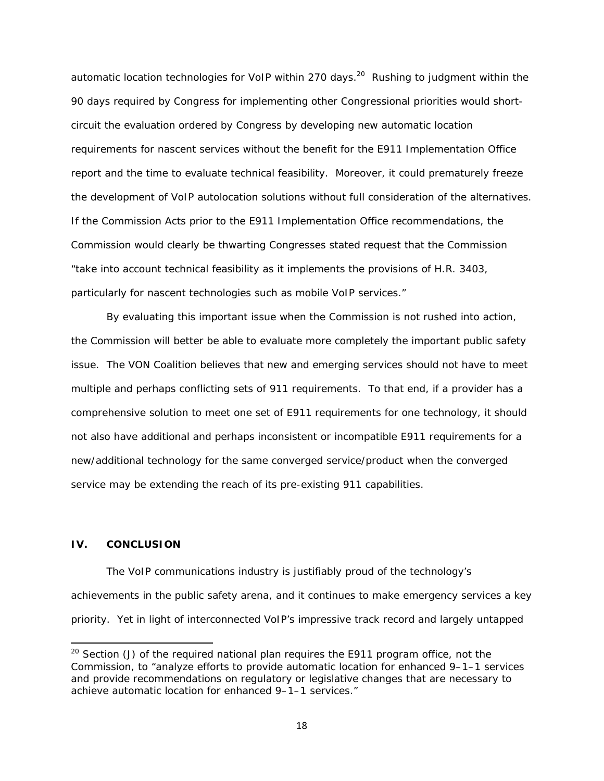automatic location technologies for VoIP within 270 days.<sup>20</sup> Rushing to judgment within the 90 days required by Congress for implementing other Congressional priorities would shortcircuit the evaluation ordered by Congress by developing new automatic location requirements for nascent services without the benefit for the E911 Implementation Office report and the time to evaluate technical feasibility. Moreover, it could prematurely freeze the development of VoIP autolocation solutions without full consideration of the alternatives. If the Commission Acts prior to the E911 Implementation Office recommendations, the Commission would clearly be thwarting Congresses stated request that the Commission "take into account technical feasibility as it implements the provisions of H.R. 3403, particularly for nascent technologies such as mobile VoIP services."

By evaluating this important issue when the Commission is not rushed into action, the Commission will better be able to evaluate more completely the important public safety issue. The VON Coalition believes that new and emerging services should not have to meet multiple and perhaps conflicting sets of 911 requirements. To that end, if a provider has a comprehensive solution to meet one set of E911 requirements for one technology, it should not also have additional and perhaps inconsistent or incompatible E911 requirements for a new/additional technology for the same converged service/product when the converged service may be extending the reach of its pre-existing 911 capabilities.

#### **IV. CONCLUSION**

The VoIP communications industry is justifiably proud of the technology's achievements in the public safety arena, and it continues to make emergency services a key priority. Yet in light of interconnected VoIP's impressive track record and largely untapped

*<sup>20</sup> Section (J) of the required national plan requires the E911 program office, not the Commission, to "analyze efforts to provide automatic location for enhanced 9–1–1 services and provide recommendations on regulatory or legislative changes that are necessary to achieve automatic location for enhanced 9–1–1 services."*